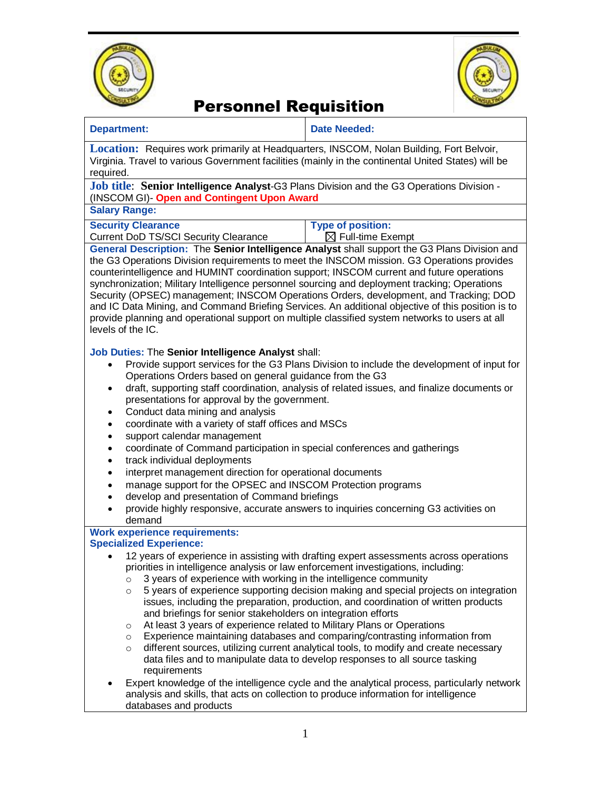



| <b>Date Needed:</b>                                                                                                                                                                                                                                                                                                                                                                                                                                                                                                                                                                                                                                                                                                                                                                                                                                                                                                                                                                                                     |  |  |
|-------------------------------------------------------------------------------------------------------------------------------------------------------------------------------------------------------------------------------------------------------------------------------------------------------------------------------------------------------------------------------------------------------------------------------------------------------------------------------------------------------------------------------------------------------------------------------------------------------------------------------------------------------------------------------------------------------------------------------------------------------------------------------------------------------------------------------------------------------------------------------------------------------------------------------------------------------------------------------------------------------------------------|--|--|
| Location: Requires work primarily at Headquarters, INSCOM, Nolan Building, Fort Belvoir,<br>Virginia. Travel to various Government facilities (mainly in the continental United States) will be<br>required.                                                                                                                                                                                                                                                                                                                                                                                                                                                                                                                                                                                                                                                                                                                                                                                                            |  |  |
| Job title: Senior Intelligence Analyst-G3 Plans Division and the G3 Operations Division -<br>(INSCOM GI)- Open and Contingent Upon Award                                                                                                                                                                                                                                                                                                                                                                                                                                                                                                                                                                                                                                                                                                                                                                                                                                                                                |  |  |
|                                                                                                                                                                                                                                                                                                                                                                                                                                                                                                                                                                                                                                                                                                                                                                                                                                                                                                                                                                                                                         |  |  |
| <b>Type of position:</b><br>$\boxtimes$ Full-time Exempt                                                                                                                                                                                                                                                                                                                                                                                                                                                                                                                                                                                                                                                                                                                                                                                                                                                                                                                                                                |  |  |
| General Description: The Senior Intelligence Analyst shall support the G3 Plans Division and<br>the G3 Operations Division requirements to meet the INSCOM mission. G3 Operations provides<br>counterintelligence and HUMINT coordination support; INSCOM current and future operations<br>synchronization; Military Intelligence personnel sourcing and deployment tracking; Operations<br>Security (OPSEC) management; INSCOM Operations Orders, development, and Tracking; DOD<br>and IC Data Mining, and Command Briefing Services. An additional objective of this position is to<br>provide planning and operational support on multiple classified system networks to users at all<br>levels of the IC.                                                                                                                                                                                                                                                                                                          |  |  |
| Job Duties: The Senior Intelligence Analyst shall:<br>Provide support services for the G3 Plans Division to include the development of input for<br>Operations Orders based on general guidance from the G3<br>draft, supporting staff coordination, analysis of related issues, and finalize documents or<br>presentations for approval by the government.<br>coordinate with a variety of staff offices and MSCs<br>coordinate of Command participation in special conferences and gatherings<br>interpret management direction for operational documents<br>manage support for the OPSEC and INSCOM Protection programs<br>develop and presentation of Command briefings<br>provide highly responsive, accurate answers to inquiries concerning G3 activities on                                                                                                                                                                                                                                                     |  |  |
| <b>Work experience requirements:</b><br><b>Specialized Experience:</b>                                                                                                                                                                                                                                                                                                                                                                                                                                                                                                                                                                                                                                                                                                                                                                                                                                                                                                                                                  |  |  |
| 12 years of experience in assisting with drafting expert assessments across operations<br>priorities in intelligence analysis or law enforcement investigations, including:<br>3 years of experience with working in the intelligence community<br>5 years of experience supporting decision making and special projects on integration<br>issues, including the preparation, production, and coordination of written products<br>and briefings for senior stakeholders on integration efforts<br>At least 3 years of experience related to Military Plans or Operations<br>Experience maintaining databases and comparing/contrasting information from<br>different sources, utilizing current analytical tools, to modify and create necessary<br>data files and to manipulate data to develop responses to all source tasking<br>Expert knowledge of the intelligence cycle and the analytical process, particularly network<br>analysis and skills, that acts on collection to produce information for intelligence |  |  |
|                                                                                                                                                                                                                                                                                                                                                                                                                                                                                                                                                                                                                                                                                                                                                                                                                                                                                                                                                                                                                         |  |  |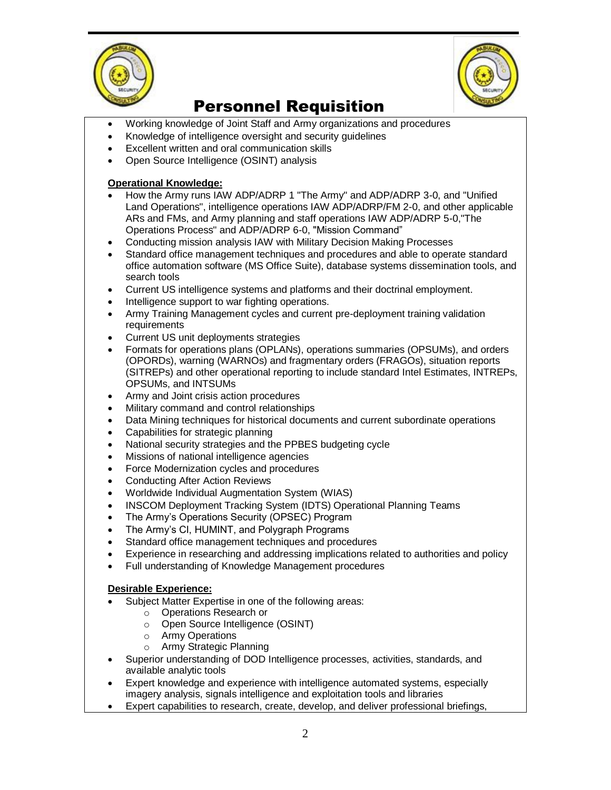



- Working knowledge of Joint Staff and Army organizations and procedures
- Knowledge of intelligence oversight and security guidelines
- Excellent written and oral communication skills
- Open Source Intelligence (OSINT) analysis

#### **Operational Knowledge:**

- How the Army runs IAW ADP/ADRP 1 "The Army" and ADP/ADRP 3-0, and "Unified Land Operations", intelligence operations IAW ADP/ADRP/FM 2-0, and other applicable ARs and FMs, and Army planning and staff operations IAW ADP/ADRP 5-0,"The Operations Process" and ADP/ADRP 6-0, "Mission Command"
- Conducting mission analysis IAW with Military Decision Making Processes
- Standard office management techniques and procedures and able to operate standard office automation software (MS Office Suite), database systems dissemination tools, and search tools
- Current US intelligence systems and platforms and their doctrinal employment.
- Intelligence support to war fighting operations.
- Army Training Management cycles and current pre-deployment training validation requirements
- Current US unit deployments strategies
- Formats for operations plans (OPLANs), operations summaries (OPSUMs), and orders (OPORDs), warning (WARNOs) and fragmentary orders (FRAGOs), situation reports (SITREPs) and other operational reporting to include standard Intel Estimates, INTREPs, OPSUMs, and INTSUMs
- Army and Joint crisis action procedures
- Military command and control relationships
- Data Mining techniques for historical documents and current subordinate operations
- Capabilities for strategic planning
- National security strategies and the PPBES budgeting cycle
- Missions of national intelligence agencies
- Force Modernization cycles and procedures
- Conducting After Action Reviews
- Worldwide Individual Augmentation System (WIAS)
- INSCOM Deployment Tracking System (IDTS) Operational Planning Teams
- The Army's Operations Security (OPSEC) Program
- The Army's CI, HUMINT, and Polygraph Programs
- Standard office management techniques and procedures
- Experience in researching and addressing implications related to authorities and policy
- Full understanding of Knowledge Management procedures

#### **Desirable Experience:**

- Subject Matter Expertise in one of the following areas:
	- o Operations Research or
	- o Open Source Intelligence (OSINT)
	- o Army Operations
	- o Army Strategic Planning
- Superior understanding of DOD Intelligence processes, activities, standards, and available analytic tools
- Expert knowledge and experience with intelligence automated systems, especially imagery analysis, signals intelligence and exploitation tools and libraries
- Expert capabilities to research, create, develop, and deliver professional briefings,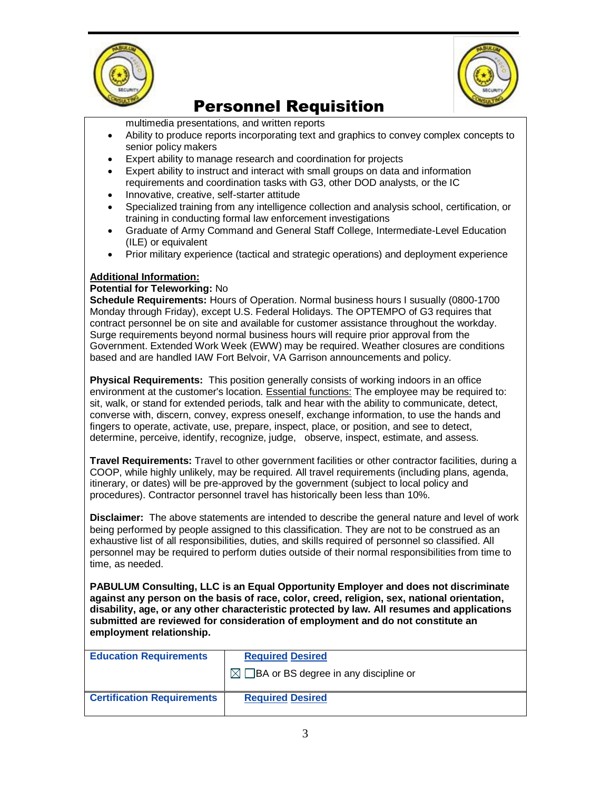



multimedia presentations, and written reports

- Ability to produce reports incorporating text and graphics to convey complex concepts to senior policy makers
- Expert ability to manage research and coordination for projects
- Expert ability to instruct and interact with small groups on data and information requirements and coordination tasks with G3, other DOD analysts, or the IC
- Innovative, creative, self-starter attitude
- Specialized training from any intelligence collection and analysis school, certification, or training in conducting formal law enforcement investigations
- Graduate of Army Command and General Staff College, Intermediate-Level Education (ILE) or equivalent
- Prior military experience (tactical and strategic operations) and deployment experience

### **Additional Information:**

### **Potential for Teleworking:** No

**Schedule Requirements:** Hours of Operation. Normal business hours I susually (0800-1700 Monday through Friday), except U.S. Federal Holidays. The OPTEMPO of G3 requires that contract personnel be on site and available for customer assistance throughout the workday. Surge requirements beyond normal business hours will require prior approval from the Government. Extended Work Week (EWW) may be required. Weather closures are conditions based and are handled IAW Fort Belvoir, VA Garrison announcements and policy.

**Physical Requirements:** This position generally consists of working indoors in an office environment at the customer's location. Essential functions: The employee may be required to: sit, walk, or stand for extended periods, talk and hear with the ability to communicate, detect, converse with, discern, convey, express oneself, exchange information, to use the hands and fingers to operate, activate, use, prepare, inspect, place, or position, and see to detect, determine, perceive, identify, recognize, judge, observe, inspect, estimate, and assess.

**Travel Requirements:** Travel to other government facilities or other contractor facilities, during a COOP, while highly unlikely, may be required. All travel requirements (including plans, agenda, itinerary, or dates) will be pre-approved by the government (subject to local policy and procedures). Contractor personnel travel has historically been less than 10%.

**Disclaimer:** The above statements are intended to describe the general nature and level of work being performed by people assigned to this classification. They are not to be construed as an exhaustive list of all responsibilities, duties, and skills required of personnel so classified. All personnel may be required to perform duties outside of their normal responsibilities from time to time, as needed.

**PABULUM Consulting, LLC is an Equal Opportunity Employer and does not discriminate against any person on the basis of race, color, creed, religion, sex, national orientation, disability, age, or any other characteristic protected by law. All resumes and applications submitted are reviewed for consideration of employment and do not constitute an employment relationship.**

| <b>Education Requirements</b>     | <b>Required Desired</b>              |
|-----------------------------------|--------------------------------------|
|                                   | BA or BS degree in any discipline or |
| <b>Certification Requirements</b> | <b>Required Desired</b>              |